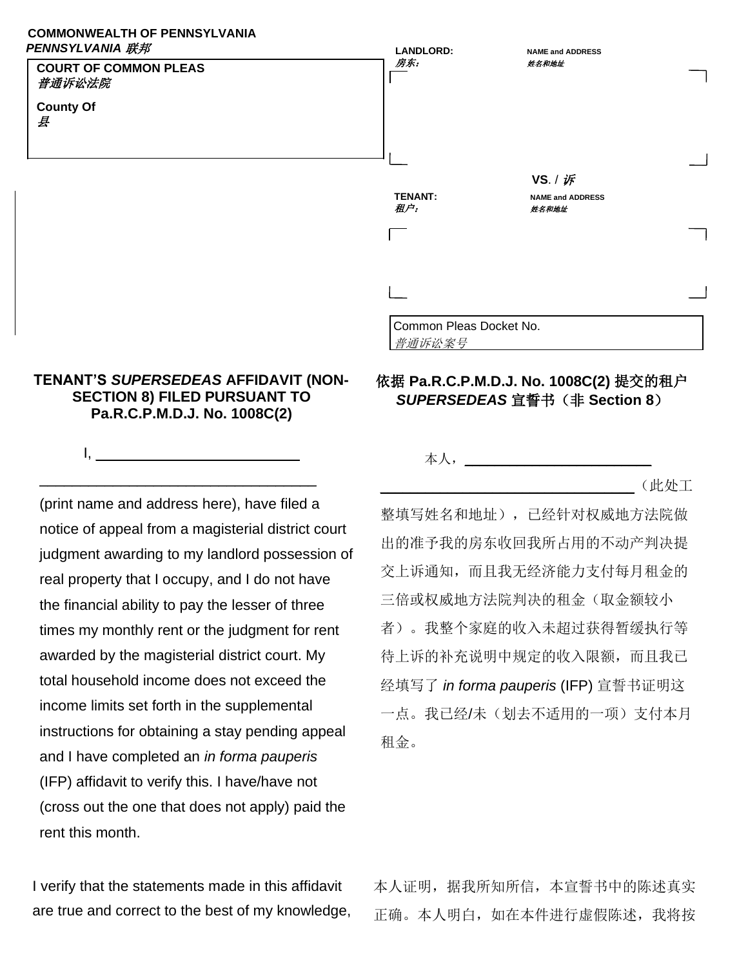## **COMMONWEALTH OF PENNSYLVANIA**  *PENNSYLVANIA* 联邦



## **TENANT'S** *SUPERSEDEAS* **AFFIDAVIT (NON-SECTION 8) FILED PURSUANT TO Pa.R.C.P.M.D.J. No. 1008C(2)**

I,  $\Box$ 

\_\_\_\_\_\_\_\_\_\_\_\_\_\_\_\_\_\_\_\_\_\_\_\_\_\_\_\_\_\_\_\_\_\_ (print name and address here), have filed a notice of appeal from a magisterial district court judgment awarding to my landlord possession of real property that I occupy, and I do not have the financial ability to pay the lesser of three times my monthly rent or the judgment for rent awarded by the magisterial district court. My total household income does not exceed the income limits set forth in the supplemental instructions for obtaining a stay pending appeal and I have completed an *in forma pauperis*  (IFP) affidavit to verify this. I have/have not (cross out the one that does not apply) paid the rent this month.

依据 **Pa.R.C.P.M.D.J. No. 1008C(2)** 提交的租户 *SUPERSEDEAS* 宣誓书(非 **Section 8**)

本人,

 $(\mathbb{R} \phi)$ 工

整填写姓名和地址),已经针对权威地方法院做 出的准予我的房东收回我所占用的不动产判决提 交上诉通知,而且我无经济能力支付每月租金的 三倍或权威地方法院判决的租金(取金额较小 者)。我整个家庭的收入未超过获得暂缓执行等 待上诉的补充说明中规定的收入限额,而且我已 经填写了 *in forma pauperis* (IFP) 宣誓书证明这 一点。我已经/未(划去不适用的一项)支付本月 租金。

I verify that the statements made in this affidavit are true and correct to the best of my knowledge, 本人证明,据我所知所信,本宣誓书中的陈述真实 正确。本人明白,如在本件进行虚假陈述,我将按